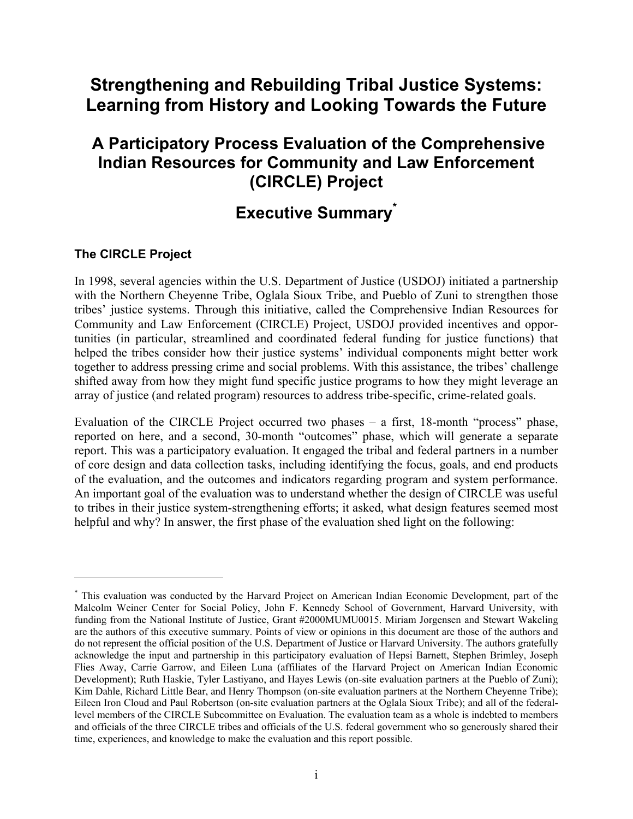# **Strengthening and Rebuilding Tribal Justice Systems: Learning from History and Looking Towards the Future**

# **A Participatory Process Evaluation of the Comprehensive Indian Resources for Community and Law Enforcement (CIRCLE) Project**

# **Executive Summary\***

## **The CIRCLE Project**

1

In 1998, several agencies within the U.S. Department of Justice (USDOJ) initiated a partnership with the Northern Cheyenne Tribe, Oglala Sioux Tribe, and Pueblo of Zuni to strengthen those tribes' justice systems. Through this initiative, called the Comprehensive Indian Resources for Community and Law Enforcement (CIRCLE) Project, USDOJ provided incentives and opportunities (in particular, streamlined and coordinated federal funding for justice functions) that helped the tribes consider how their justice systems' individual components might better work together to address pressing crime and social problems. With this assistance, the tribes' challenge shifted away from how they might fund specific justice programs to how they might leverage an array of justice (and related program) resources to address tribe-specific, crime-related goals.

Evaluation of the CIRCLE Project occurred two phases – a first, 18-month "process" phase, reported on here, and a second, 30-month "outcomes" phase, which will generate a separate report. This was a participatory evaluation. It engaged the tribal and federal partners in a number of core design and data collection tasks, including identifying the focus, goals, and end products of the evaluation, and the outcomes and indicators regarding program and system performance. An important goal of the evaluation was to understand whether the design of CIRCLE was useful to tribes in their justice system-strengthening efforts; it asked, what design features seemed most helpful and why? In answer, the first phase of the evaluation shed light on the following:

<sup>\*</sup> This evaluation was conducted by the Harvard Project on American Indian Economic Development, part of the Malcolm Weiner Center for Social Policy, John F. Kennedy School of Government, Harvard University, with funding from the National Institute of Justice, Grant #2000MUMU0015. Miriam Jorgensen and Stewart Wakeling are the authors of this executive summary. Points of view or opinions in this document are those of the authors and do not represent the official position of the U.S. Department of Justice or Harvard University. The authors gratefully acknowledge the input and partnership in this participatory evaluation of Hepsi Barnett, Stephen Brimley, Joseph Flies Away, Carrie Garrow, and Eileen Luna (affiliates of the Harvard Project on American Indian Economic Development); Ruth Haskie, Tyler Lastiyano, and Hayes Lewis (on-site evaluation partners at the Pueblo of Zuni); Kim Dahle, Richard Little Bear, and Henry Thompson (on-site evaluation partners at the Northern Cheyenne Tribe); Eileen Iron Cloud and Paul Robertson (on-site evaluation partners at the Oglala Sioux Tribe); and all of the federallevel members of the CIRCLE Subcommittee on Evaluation. The evaluation team as a whole is indebted to members and officials of the three CIRCLE tribes and officials of the U.S. federal government who so generously shared their time, experiences, and knowledge to make the evaluation and this report possible.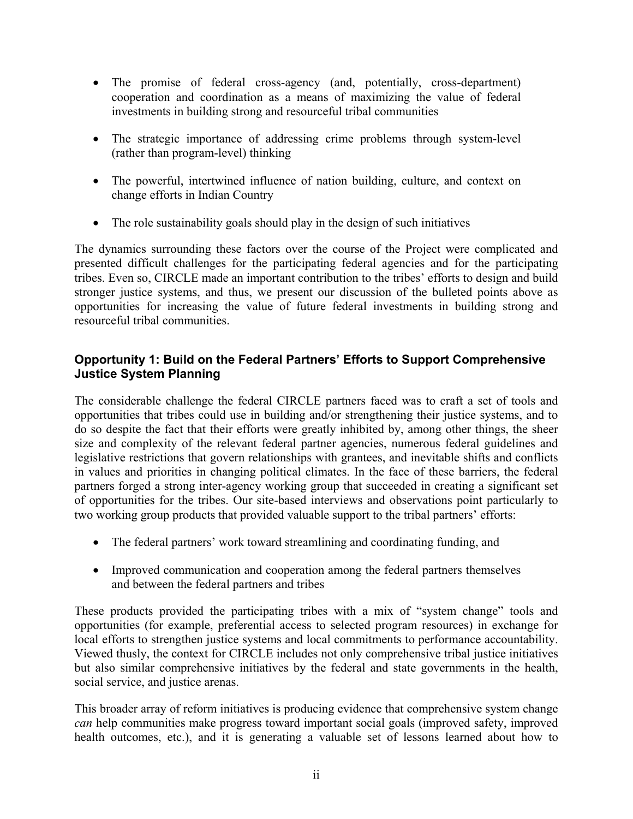- The promise of federal cross-agency (and, potentially, cross-department) cooperation and coordination as a means of maximizing the value of federal investments in building strong and resourceful tribal communities
- The strategic importance of addressing crime problems through system-level (rather than program-level) thinking
- The powerful, intertwined influence of nation building, culture, and context on change efforts in Indian Country
- The role sustainability goals should play in the design of such initiatives

The dynamics surrounding these factors over the course of the Project were complicated and presented difficult challenges for the participating federal agencies and for the participating tribes. Even so, CIRCLE made an important contribution to the tribes' efforts to design and build stronger justice systems, and thus, we present our discussion of the bulleted points above as opportunities for increasing the value of future federal investments in building strong and resourceful tribal communities.

### **Opportunity 1: Build on the Federal Partners' Efforts to Support Comprehensive Justice System Planning**

The considerable challenge the federal CIRCLE partners faced was to craft a set of tools and opportunities that tribes could use in building and/or strengthening their justice systems, and to do so despite the fact that their efforts were greatly inhibited by, among other things, the sheer size and complexity of the relevant federal partner agencies, numerous federal guidelines and legislative restrictions that govern relationships with grantees, and inevitable shifts and conflicts in values and priorities in changing political climates. In the face of these barriers, the federal partners forged a strong inter-agency working group that succeeded in creating a significant set of opportunities for the tribes. Our site-based interviews and observations point particularly to two working group products that provided valuable support to the tribal partners' efforts:

- The federal partners' work toward streamlining and coordinating funding, and
- Improved communication and cooperation among the federal partners themselves and between the federal partners and tribes

These products provided the participating tribes with a mix of "system change" tools and opportunities (for example, preferential access to selected program resources) in exchange for local efforts to strengthen justice systems and local commitments to performance accountability. Viewed thusly, the context for CIRCLE includes not only comprehensive tribal justice initiatives but also similar comprehensive initiatives by the federal and state governments in the health, social service, and justice arenas.

This broader array of reform initiatives is producing evidence that comprehensive system change *can* help communities make progress toward important social goals (improved safety, improved health outcomes, etc.), and it is generating a valuable set of lessons learned about how to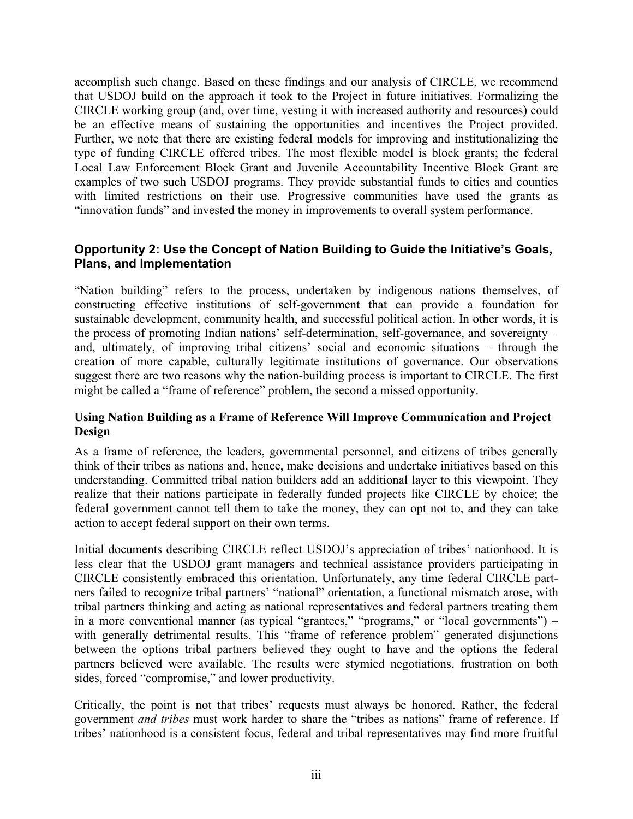accomplish such change. Based on these findings and our analysis of CIRCLE, we recommend that USDOJ build on the approach it took to the Project in future initiatives. Formalizing the CIRCLE working group (and, over time, vesting it with increased authority and resources) could be an effective means of sustaining the opportunities and incentives the Project provided. Further, we note that there are existing federal models for improving and institutionalizing the type of funding CIRCLE offered tribes. The most flexible model is block grants; the federal Local Law Enforcement Block Grant and Juvenile Accountability Incentive Block Grant are examples of two such USDOJ programs. They provide substantial funds to cities and counties with limited restrictions on their use. Progressive communities have used the grants as "innovation funds" and invested the money in improvements to overall system performance.

### **Opportunity 2: Use the Concept of Nation Building to Guide the Initiative's Goals, Plans, and Implementation**

"Nation building" refers to the process, undertaken by indigenous nations themselves, of constructing effective institutions of self-government that can provide a foundation for sustainable development, community health, and successful political action. In other words, it is the process of promoting Indian nations' self-determination, self-governance, and sovereignty – and, ultimately, of improving tribal citizens' social and economic situations – through the creation of more capable, culturally legitimate institutions of governance. Our observations suggest there are two reasons why the nation-building process is important to CIRCLE. The first might be called a "frame of reference" problem, the second a missed opportunity.

#### **Using Nation Building as a Frame of Reference Will Improve Communication and Project Design**

As a frame of reference, the leaders, governmental personnel, and citizens of tribes generally think of their tribes as nations and, hence, make decisions and undertake initiatives based on this understanding. Committed tribal nation builders add an additional layer to this viewpoint. They realize that their nations participate in federally funded projects like CIRCLE by choice; the federal government cannot tell them to take the money, they can opt not to, and they can take action to accept federal support on their own terms.

Initial documents describing CIRCLE reflect USDOJ's appreciation of tribes' nationhood. It is less clear that the USDOJ grant managers and technical assistance providers participating in CIRCLE consistently embraced this orientation. Unfortunately, any time federal CIRCLE partners failed to recognize tribal partners' "national" orientation, a functional mismatch arose, with tribal partners thinking and acting as national representatives and federal partners treating them in a more conventional manner (as typical "grantees," "programs," or "local governments") – with generally detrimental results. This "frame of reference problem" generated disjunctions between the options tribal partners believed they ought to have and the options the federal partners believed were available. The results were stymied negotiations, frustration on both sides, forced "compromise," and lower productivity.

Critically, the point is not that tribes' requests must always be honored. Rather, the federal government *and tribes* must work harder to share the "tribes as nations" frame of reference. If tribes' nationhood is a consistent focus, federal and tribal representatives may find more fruitful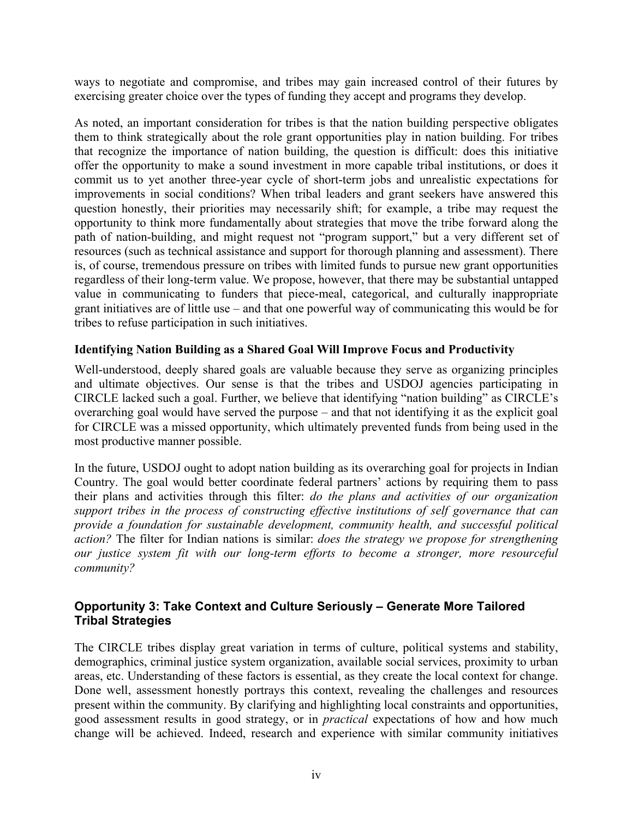ways to negotiate and compromise, and tribes may gain increased control of their futures by exercising greater choice over the types of funding they accept and programs they develop.

As noted, an important consideration for tribes is that the nation building perspective obligates them to think strategically about the role grant opportunities play in nation building. For tribes that recognize the importance of nation building, the question is difficult: does this initiative offer the opportunity to make a sound investment in more capable tribal institutions, or does it commit us to yet another three-year cycle of short-term jobs and unrealistic expectations for improvements in social conditions? When tribal leaders and grant seekers have answered this question honestly, their priorities may necessarily shift; for example, a tribe may request the opportunity to think more fundamentally about strategies that move the tribe forward along the path of nation-building, and might request not "program support," but a very different set of resources (such as technical assistance and support for thorough planning and assessment). There is, of course, tremendous pressure on tribes with limited funds to pursue new grant opportunities regardless of their long-term value. We propose, however, that there may be substantial untapped value in communicating to funders that piece-meal, categorical, and culturally inappropriate grant initiatives are of little use – and that one powerful way of communicating this would be for tribes to refuse participation in such initiatives.

#### **Identifying Nation Building as a Shared Goal Will Improve Focus and Productivity**

Well-understood, deeply shared goals are valuable because they serve as organizing principles and ultimate objectives. Our sense is that the tribes and USDOJ agencies participating in CIRCLE lacked such a goal. Further, we believe that identifying "nation building" as CIRCLE's overarching goal would have served the purpose – and that not identifying it as the explicit goal for CIRCLE was a missed opportunity, which ultimately prevented funds from being used in the most productive manner possible.

In the future, USDOJ ought to adopt nation building as its overarching goal for projects in Indian Country. The goal would better coordinate federal partners' actions by requiring them to pass their plans and activities through this filter: *do the plans and activities of our organization support tribes in the process of constructing effective institutions of self governance that can provide a foundation for sustainable development, community health, and successful political action?* The filter for Indian nations is similar: *does the strategy we propose for strengthening our justice system fit with our long-term efforts to become a stronger, more resourceful community?* 

#### **Opportunity 3: Take Context and Culture Seriously – Generate More Tailored Tribal Strategies**

The CIRCLE tribes display great variation in terms of culture, political systems and stability, demographics, criminal justice system organization, available social services, proximity to urban areas, etc. Understanding of these factors is essential, as they create the local context for change. Done well, assessment honestly portrays this context, revealing the challenges and resources present within the community. By clarifying and highlighting local constraints and opportunities, good assessment results in good strategy, or in *practical* expectations of how and how much change will be achieved. Indeed, research and experience with similar community initiatives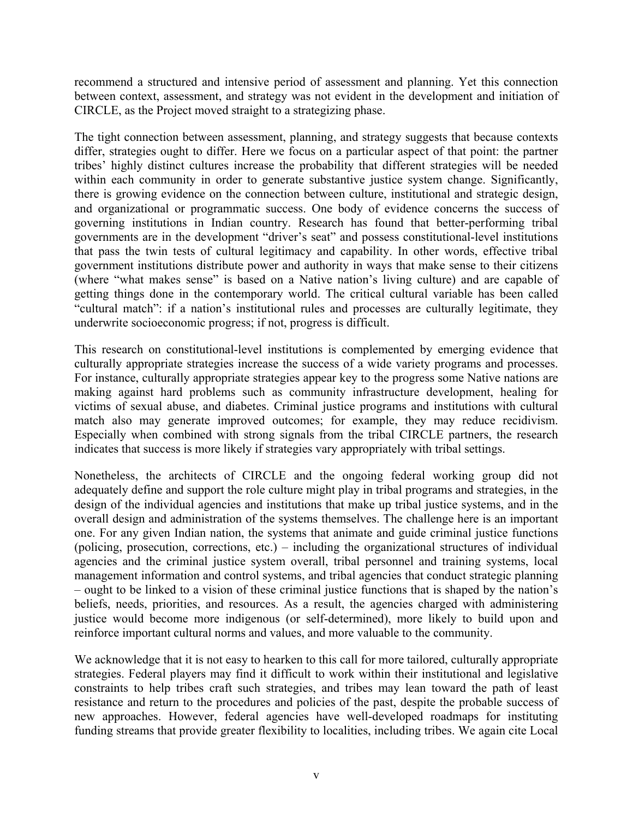recommend a structured and intensive period of assessment and planning. Yet this connection between context, assessment, and strategy was not evident in the development and initiation of CIRCLE, as the Project moved straight to a strategizing phase.

The tight connection between assessment, planning, and strategy suggests that because contexts differ, strategies ought to differ. Here we focus on a particular aspect of that point: the partner tribes' highly distinct cultures increase the probability that different strategies will be needed within each community in order to generate substantive justice system change. Significantly, there is growing evidence on the connection between culture, institutional and strategic design, and organizational or programmatic success. One body of evidence concerns the success of governing institutions in Indian country. Research has found that better-performing tribal governments are in the development "driver's seat" and possess constitutional-level institutions that pass the twin tests of cultural legitimacy and capability. In other words, effective tribal government institutions distribute power and authority in ways that make sense to their citizens (where "what makes sense" is based on a Native nation's living culture) and are capable of getting things done in the contemporary world. The critical cultural variable has been called "cultural match": if a nation's institutional rules and processes are culturally legitimate, they underwrite socioeconomic progress; if not, progress is difficult.

This research on constitutional-level institutions is complemented by emerging evidence that culturally appropriate strategies increase the success of a wide variety programs and processes. For instance, culturally appropriate strategies appear key to the progress some Native nations are making against hard problems such as community infrastructure development, healing for victims of sexual abuse, and diabetes. Criminal justice programs and institutions with cultural match also may generate improved outcomes; for example, they may reduce recidivism. Especially when combined with strong signals from the tribal CIRCLE partners, the research indicates that success is more likely if strategies vary appropriately with tribal settings.

Nonetheless, the architects of CIRCLE and the ongoing federal working group did not adequately define and support the role culture might play in tribal programs and strategies, in the design of the individual agencies and institutions that make up tribal justice systems, and in the overall design and administration of the systems themselves. The challenge here is an important one. For any given Indian nation, the systems that animate and guide criminal justice functions (policing, prosecution, corrections, etc.) – including the organizational structures of individual agencies and the criminal justice system overall, tribal personnel and training systems, local management information and control systems, and tribal agencies that conduct strategic planning – ought to be linked to a vision of these criminal justice functions that is shaped by the nation's beliefs, needs, priorities, and resources. As a result, the agencies charged with administering justice would become more indigenous (or self-determined), more likely to build upon and reinforce important cultural norms and values, and more valuable to the community.

We acknowledge that it is not easy to hearken to this call for more tailored, culturally appropriate strategies. Federal players may find it difficult to work within their institutional and legislative constraints to help tribes craft such strategies, and tribes may lean toward the path of least resistance and return to the procedures and policies of the past, despite the probable success of new approaches. However, federal agencies have well-developed roadmaps for instituting funding streams that provide greater flexibility to localities, including tribes. We again cite Local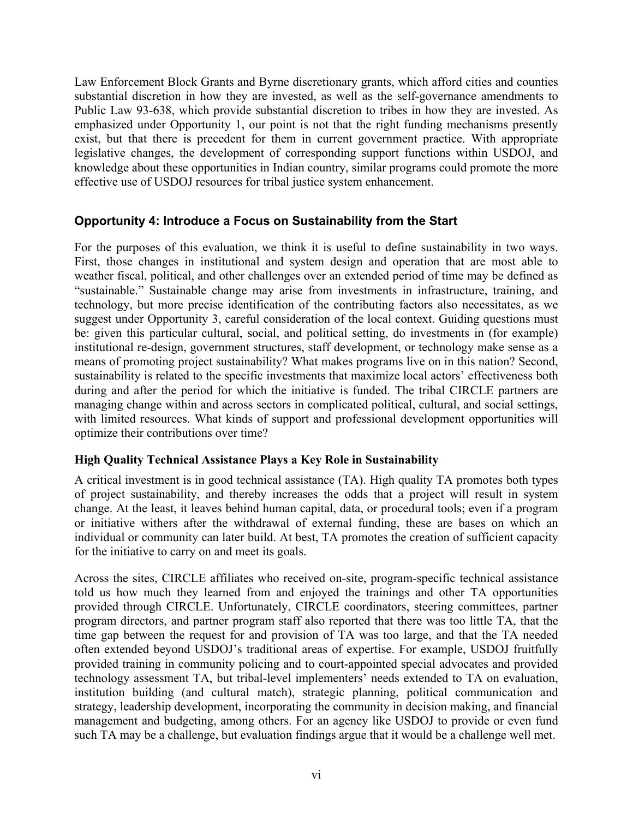Law Enforcement Block Grants and Byrne discretionary grants, which afford cities and counties substantial discretion in how they are invested, as well as the self-governance amendments to Public Law 93-638, which provide substantial discretion to tribes in how they are invested. As emphasized under Opportunity 1, our point is not that the right funding mechanisms presently exist, but that there is precedent for them in current government practice. With appropriate legislative changes, the development of corresponding support functions within USDOJ, and knowledge about these opportunities in Indian country, similar programs could promote the more effective use of USDOJ resources for tribal justice system enhancement.

## **Opportunity 4: Introduce a Focus on Sustainability from the Start**

For the purposes of this evaluation, we think it is useful to define sustainability in two ways. First, those changes in institutional and system design and operation that are most able to weather fiscal, political, and other challenges over an extended period of time may be defined as "sustainable." Sustainable change may arise from investments in infrastructure, training, and technology, but more precise identification of the contributing factors also necessitates, as we suggest under Opportunity 3, careful consideration of the local context. Guiding questions must be: given this particular cultural, social, and political setting, do investments in (for example) institutional re-design, government structures, staff development, or technology make sense as a means of promoting project sustainability? What makes programs live on in this nation? Second, sustainability is related to the specific investments that maximize local actors' effectiveness both during and after the period for which the initiative is funded. The tribal CIRCLE partners are managing change within and across sectors in complicated political, cultural, and social settings, with limited resources. What kinds of support and professional development opportunities will optimize their contributions over time?

#### **High Quality Technical Assistance Plays a Key Role in Sustainability**

A critical investment is in good technical assistance (TA). High quality TA promotes both types of project sustainability, and thereby increases the odds that a project will result in system change. At the least, it leaves behind human capital, data, or procedural tools; even if a program or initiative withers after the withdrawal of external funding, these are bases on which an individual or community can later build. At best, TA promotes the creation of sufficient capacity for the initiative to carry on and meet its goals.

Across the sites, CIRCLE affiliates who received on-site, program-specific technical assistance told us how much they learned from and enjoyed the trainings and other TA opportunities provided through CIRCLE. Unfortunately, CIRCLE coordinators, steering committees, partner program directors, and partner program staff also reported that there was too little TA, that the time gap between the request for and provision of TA was too large, and that the TA needed often extended beyond USDOJ's traditional areas of expertise. For example, USDOJ fruitfully provided training in community policing and to court-appointed special advocates and provided technology assessment TA, but tribal-level implementers' needs extended to TA on evaluation, institution building (and cultural match), strategic planning, political communication and strategy, leadership development, incorporating the community in decision making, and financial management and budgeting, among others. For an agency like USDOJ to provide or even fund such TA may be a challenge, but evaluation findings argue that it would be a challenge well met.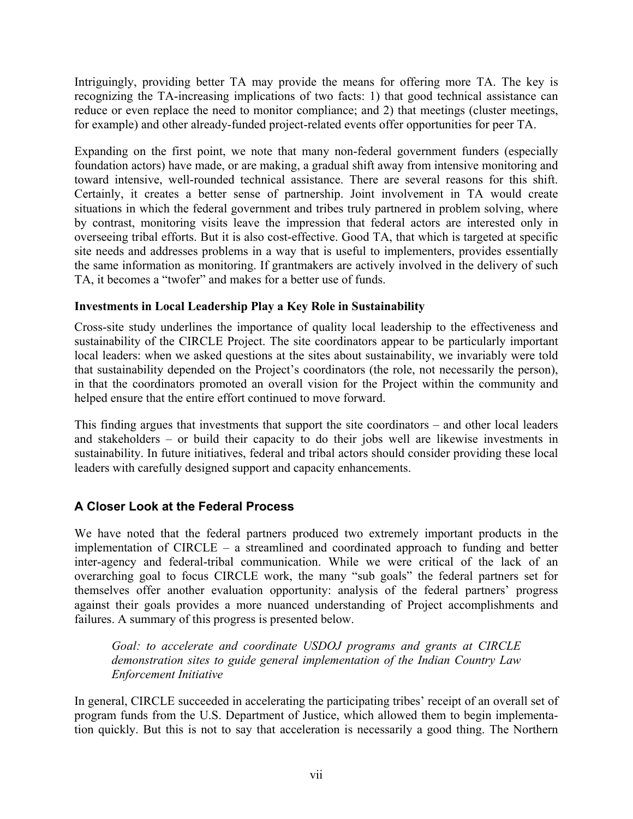Intriguingly, providing better TA may provide the means for offering more TA. The key is recognizing the TA-increasing implications of two facts: 1) that good technical assistance can reduce or even replace the need to monitor compliance; and 2) that meetings (cluster meetings, for example) and other already-funded project-related events offer opportunities for peer TA.

Expanding on the first point, we note that many non-federal government funders (especially foundation actors) have made, or are making, a gradual shift away from intensive monitoring and toward intensive, well-rounded technical assistance. There are several reasons for this shift. Certainly, it creates a better sense of partnership. Joint involvement in TA would create situations in which the federal government and tribes truly partnered in problem solving, where by contrast, monitoring visits leave the impression that federal actors are interested only in overseeing tribal efforts. But it is also cost-effective. Good TA, that which is targeted at specific site needs and addresses problems in a way that is useful to implementers, provides essentially the same information as monitoring. If grantmakers are actively involved in the delivery of such TA, it becomes a "twofer" and makes for a better use of funds.

#### **Investments in Local Leadership Play a Key Role in Sustainability**

Cross-site study underlines the importance of quality local leadership to the effectiveness and sustainability of the CIRCLE Project. The site coordinators appear to be particularly important local leaders: when we asked questions at the sites about sustainability, we invariably were told that sustainability depended on the Project's coordinators (the role, not necessarily the person), in that the coordinators promoted an overall vision for the Project within the community and helped ensure that the entire effort continued to move forward.

This finding argues that investments that support the site coordinators – and other local leaders and stakeholders – or build their capacity to do their jobs well are likewise investments in sustainability. In future initiatives, federal and tribal actors should consider providing these local leaders with carefully designed support and capacity enhancements.

# **A Closer Look at the Federal Process**

We have noted that the federal partners produced two extremely important products in the implementation of CIRCLE – a streamlined and coordinated approach to funding and better inter-agency and federal-tribal communication. While we were critical of the lack of an overarching goal to focus CIRCLE work, the many "sub goals" the federal partners set for themselves offer another evaluation opportunity: analysis of the federal partners' progress against their goals provides a more nuanced understanding of Project accomplishments and failures. A summary of this progress is presented below.

*Goal: to accelerate and coordinate USDOJ programs and grants at CIRCLE demonstration sites to guide general implementation of the Indian Country Law Enforcement Initiative* 

In general, CIRCLE succeeded in accelerating the participating tribes' receipt of an overall set of program funds from the U.S. Department of Justice, which allowed them to begin implementation quickly. But this is not to say that acceleration is necessarily a good thing. The Northern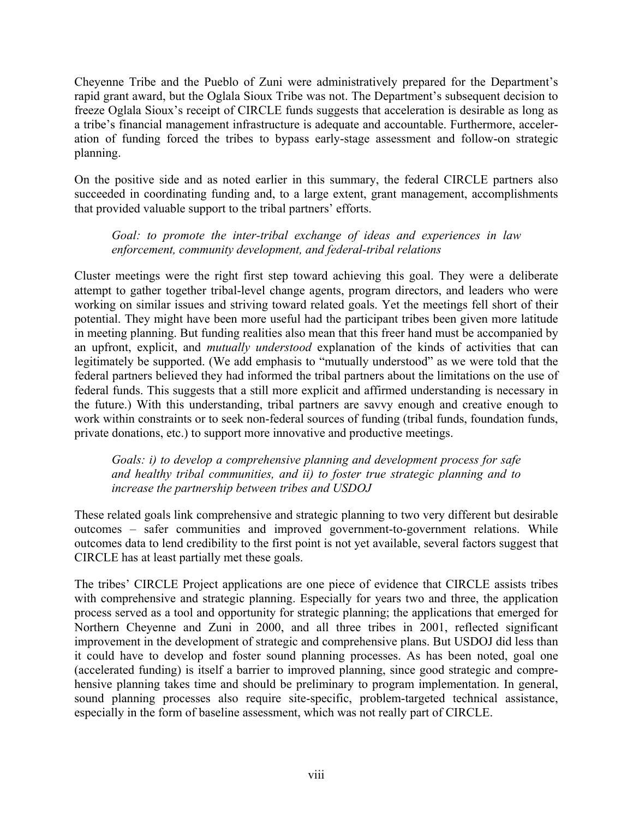Cheyenne Tribe and the Pueblo of Zuni were administratively prepared for the Department's rapid grant award, but the Oglala Sioux Tribe was not. The Department's subsequent decision to freeze Oglala Sioux's receipt of CIRCLE funds suggests that acceleration is desirable as long as a tribe's financial management infrastructure is adequate and accountable. Furthermore, acceleration of funding forced the tribes to bypass early-stage assessment and follow-on strategic planning.

On the positive side and as noted earlier in this summary, the federal CIRCLE partners also succeeded in coordinating funding and, to a large extent, grant management, accomplishments that provided valuable support to the tribal partners' efforts.

#### *Goal: to promote the inter-tribal exchange of ideas and experiences in law enforcement, community development, and federal-tribal relations*

Cluster meetings were the right first step toward achieving this goal. They were a deliberate attempt to gather together tribal-level change agents, program directors, and leaders who were working on similar issues and striving toward related goals. Yet the meetings fell short of their potential. They might have been more useful had the participant tribes been given more latitude in meeting planning. But funding realities also mean that this freer hand must be accompanied by an upfront, explicit, and *mutually understood* explanation of the kinds of activities that can legitimately be supported. (We add emphasis to "mutually understood" as we were told that the federal partners believed they had informed the tribal partners about the limitations on the use of federal funds. This suggests that a still more explicit and affirmed understanding is necessary in the future.) With this understanding, tribal partners are savvy enough and creative enough to work within constraints or to seek non-federal sources of funding (tribal funds, foundation funds, private donations, etc.) to support more innovative and productive meetings.

*Goals: i) to develop a comprehensive planning and development process for safe and healthy tribal communities, and ii) to foster true strategic planning and to increase the partnership between tribes and USDOJ* 

These related goals link comprehensive and strategic planning to two very different but desirable outcomes – safer communities and improved government-to-government relations. While outcomes data to lend credibility to the first point is not yet available, several factors suggest that CIRCLE has at least partially met these goals.

The tribes' CIRCLE Project applications are one piece of evidence that CIRCLE assists tribes with comprehensive and strategic planning. Especially for years two and three, the application process served as a tool and opportunity for strategic planning; the applications that emerged for Northern Cheyenne and Zuni in 2000, and all three tribes in 2001, reflected significant improvement in the development of strategic and comprehensive plans. But USDOJ did less than it could have to develop and foster sound planning processes. As has been noted, goal one (accelerated funding) is itself a barrier to improved planning, since good strategic and comprehensive planning takes time and should be preliminary to program implementation. In general, sound planning processes also require site-specific, problem-targeted technical assistance, especially in the form of baseline assessment, which was not really part of CIRCLE.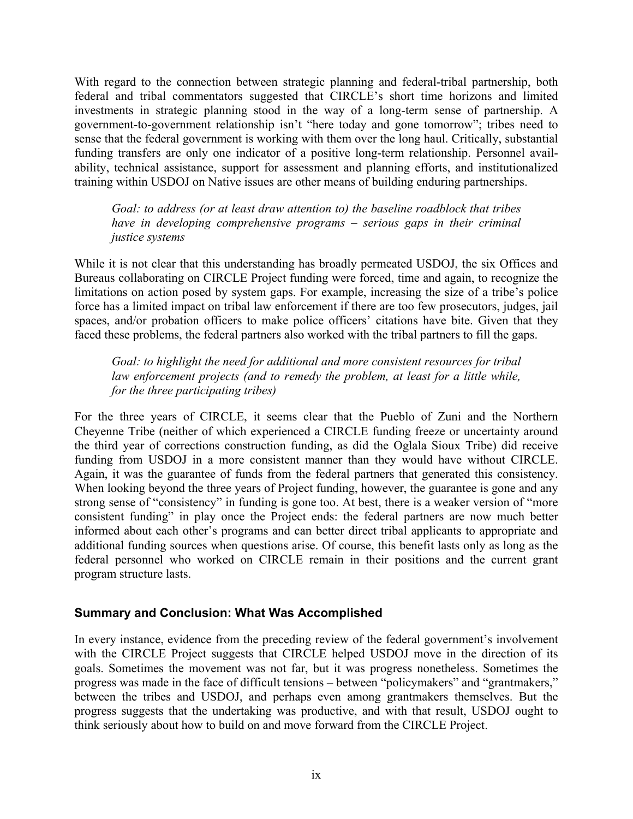With regard to the connection between strategic planning and federal-tribal partnership, both federal and tribal commentators suggested that CIRCLE's short time horizons and limited investments in strategic planning stood in the way of a long-term sense of partnership. A government-to-government relationship isn't "here today and gone tomorrow"; tribes need to sense that the federal government is working with them over the long haul. Critically, substantial funding transfers are only one indicator of a positive long-term relationship. Personnel availability, technical assistance, support for assessment and planning efforts, and institutionalized training within USDOJ on Native issues are other means of building enduring partnerships.

*Goal: to address (or at least draw attention to) the baseline roadblock that tribes have in developing comprehensive programs – serious gaps in their criminal justice systems* 

While it is not clear that this understanding has broadly permeated USDOJ, the six Offices and Bureaus collaborating on CIRCLE Project funding were forced, time and again, to recognize the limitations on action posed by system gaps. For example, increasing the size of a tribe's police force has a limited impact on tribal law enforcement if there are too few prosecutors, judges, jail spaces, and/or probation officers to make police officers' citations have bite. Given that they faced these problems, the federal partners also worked with the tribal partners to fill the gaps.

*Goal: to highlight the need for additional and more consistent resources for tribal law enforcement projects (and to remedy the problem, at least for a little while, for the three participating tribes)* 

For the three years of CIRCLE, it seems clear that the Pueblo of Zuni and the Northern Cheyenne Tribe (neither of which experienced a CIRCLE funding freeze or uncertainty around the third year of corrections construction funding, as did the Oglala Sioux Tribe) did receive funding from USDOJ in a more consistent manner than they would have without CIRCLE. Again, it was the guarantee of funds from the federal partners that generated this consistency. When looking beyond the three years of Project funding, however, the guarantee is gone and any strong sense of "consistency" in funding is gone too. At best, there is a weaker version of "more consistent funding" in play once the Project ends: the federal partners are now much better informed about each other's programs and can better direct tribal applicants to appropriate and additional funding sources when questions arise. Of course, this benefit lasts only as long as the federal personnel who worked on CIRCLE remain in their positions and the current grant program structure lasts.

#### **Summary and Conclusion: What Was Accomplished**

In every instance, evidence from the preceding review of the federal government's involvement with the CIRCLE Project suggests that CIRCLE helped USDOJ move in the direction of its goals. Sometimes the movement was not far, but it was progress nonetheless. Sometimes the progress was made in the face of difficult tensions – between "policymakers" and "grantmakers," between the tribes and USDOJ, and perhaps even among grantmakers themselves. But the progress suggests that the undertaking was productive, and with that result, USDOJ ought to think seriously about how to build on and move forward from the CIRCLE Project.